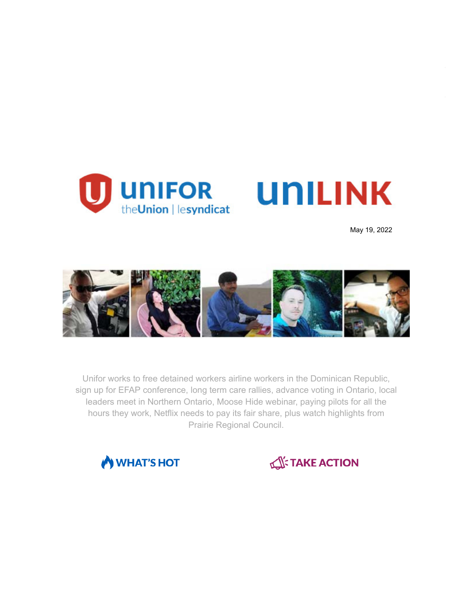

**UNILINK** 

May 19, 2022



Unifor works to free detained workers airline workers in the Dominican Republic, sign up for EFAP conference, long term care rallies, advance voting in Ontario, local leaders meet in Northern Ontario, Moose Hide webinar, paying pilots for all the hours they work, Netflix needs to pay its fair share, plus watch highlights from Prairie Regional Council.



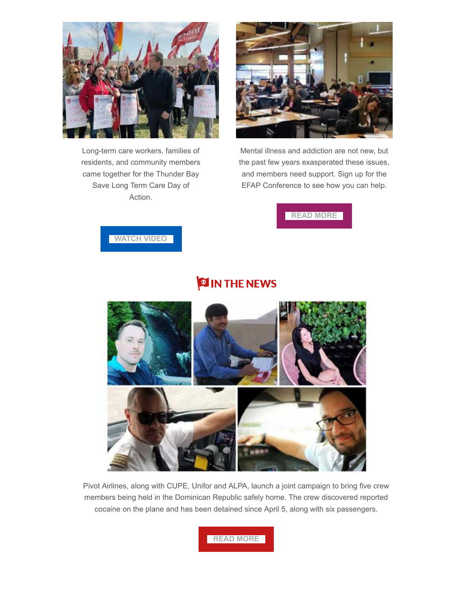

Long-term care workers, families of residents, and community members came together for the Thunder Bay Save Long Term Care Day of Action.



Mental illness and addiction are not new, but the past few years exasperated these issues, and members need support. Sign up for the EFAP Conference to see how you can help.

### **[READ MORE](https://www.unifor.org/news/events/unifor-biennial-employee-family-assistance-conference)**

#### **[WATCH VIDEO](https://fb.watch/c_mzO-tamT/)**

## **OIN THE NEWS**



Pivot Airlines, along with CUPE, Unifor and ALPA, launch a joint campaign to bring five crew members being held in the Dominican Republic safely home. The crew discovered reported cocaine on the plane and has been detained since April 5, along with six passengers.

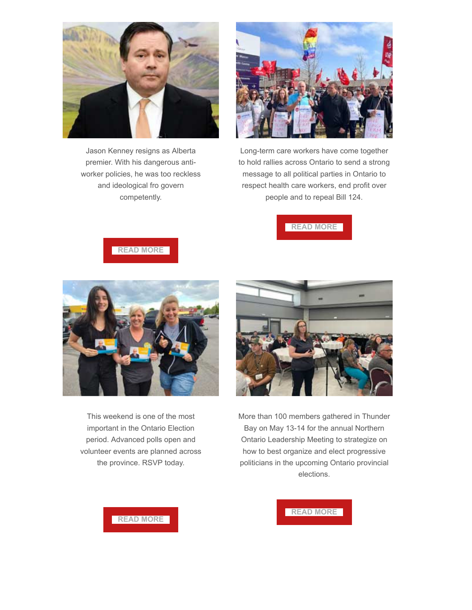

Jason Kenney resigns as Alberta premier. With his dangerous antiworker policies, he was too reckless and ideological fro govern competently.



Long-term care workers have come together to hold rallies across Ontario to send a strong message to all political parties in Ontario to respect health care workers, end profit over people and to repeal Bill 124.



**[READ MORE](https://www.unifor.org/news/all-news/workers-wont-miss-jason-kenney)**



This weekend is one of the most important in the Ontario Election period. Advanced polls open and volunteer events are planned across the province. RSVP today.



More than 100 members gathered in Thunder Bay on May 13-14 for the annual Northern Ontario Leadership Meeting to strategize on how to best organize and elect progressive politicians in the upcoming Ontario provincial elections.



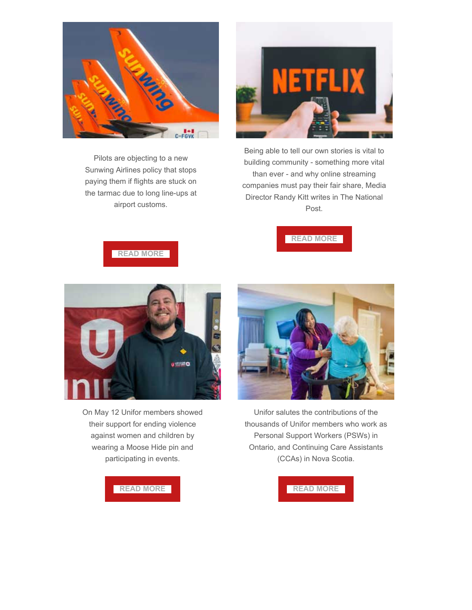

Pilots are objecting to a new Sunwing Airlines policy that stops paying them if flights are stuck on the tarmac due to long line-ups at airport customs.



Being able to tell our own stories is vital to building community - something more vital than ever - and why online streaming companies must pay their fair share, Media Director Randy Kitt writes in The National Post.



**[READ MORE](https://www.unifor.org/news/all-news/customs-delays-are-no-reason-shortchange-pilots)**



On May 12 Unifor members showed their support for ending violence against women and children by wearing a Moose Hide pin and participating in events.



Unifor salutes the contributions of the thousands of Unifor members who work as Personal Support Workers (PSWs) in Ontario, and Continuing Care Assistants (CCAs) in Nova Scotia.

#### **[READ MORE](https://www.facebook.com/media/set/?vanity=UniforCanada&set=a.340926691458390)**

#### **[READ MORE](https://www.unifor.org/news/all-news/unifor-personal-support-worker-day-statement-2022)**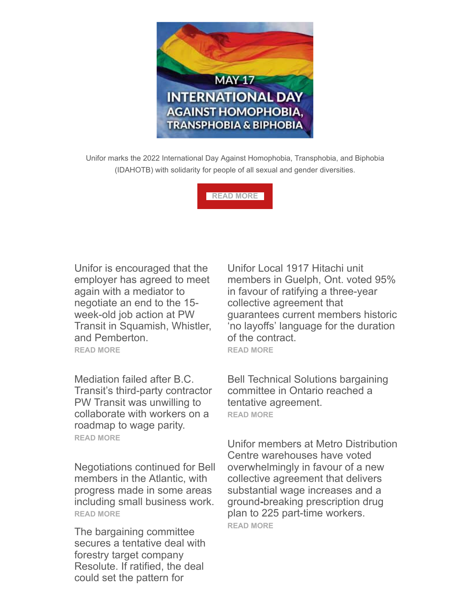

Unifor marks the 2022 International Day Against Homophobia, Transphobia, and Biphobia (IDAHOTB) with solidarity for people of all sexual and gender diversities.

**[READ MORE](https://www.unifor.org/news/all-news/statement-international-day-against-homophobia-transphobia-and-biphobia-0)**

Unifor is encouraged that the employer has agreed to meet again with a mediator to negotiate an end to the 15 week-old job action at PW Transit in Squamish, Whistler, and Pemberton. **[READ MORE](https://www.unifor.org/news/all-news/pw-transit-finally-agrees-another-attempt-mediation)**

Mediation failed after B.C. Transit's third-party contractor PW Transit was unwilling to collaborate with workers on a roadmap to wage parity. **[READ MORE](https://www.unifor.org/news/all-news/mediation-sea-sky-transit-strike-fails-move-employer)**

Negotiations continued for Bell members in the Atlantic, with progress made in some areas including small business work. **[READ MORE](https://www.unifor.org/news/all-news/bell-atlantic-bargaining-bulletin-update-6)**

The bargaining committee secures a tentative deal with forestry target company Resolute. If ratified, the deal could set the pattern for

Unifor Local 1917 Hitachi unit members in Guelph, Ont. voted 95% in favour of ratifying a three-year collective agreement that guarantees current members historic 'no layoffs' language for the duration of the contract. **[READ MORE](https://www.unifor.org/news/all-news/new-3-year-deal-local-1917-hitachi-workers)**

Bell Technical Solutions bargaining committee in Ontario reached a tentative agreement. **[READ MORE](https://www.unifor.org/news/all-news/bell-technical-solutions-bargaining-update-7)**

Unifor members at Metro Distribution Centre warehouses have voted overwhelmingly in favour of a new collective agreement that delivers substantial wage increases and a ground**-**breaking prescription drug plan to 225 part-time workers. **[READ MORE](https://www.unifor.org/news/all-news/contract-delivers-higher-wages-and-groundbreaking-benefits-part-time-metro-warehouse)**